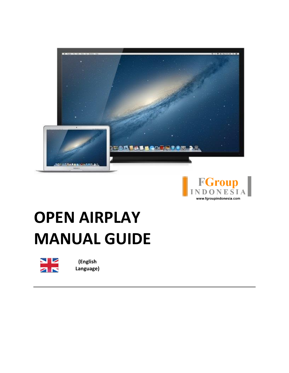



# **OPEN AIRPLAY MANUAL GUIDE**



**(English Language)**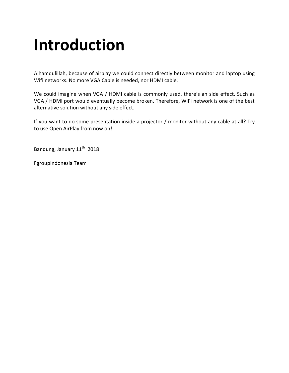## **Introduction**

Alhamdulillah, because of airplay we could connect directly between monitor and laptop using Wifi networks. No more VGA Cable is needed, nor HDMI cable.

We could imagine when VGA / HDMI cable is commonly used, there's an side effect. Such as VGA / HDMI port would eventually become broken. Therefore, WIFI network is one of the best alternative solution without any side effect.

If you want to do some presentation inside a projector / monitor without any cable at all? Try to use Open AirPlay from now on!

Bandung, January 11<sup>th</sup> 2018

FgroupIndonesia Team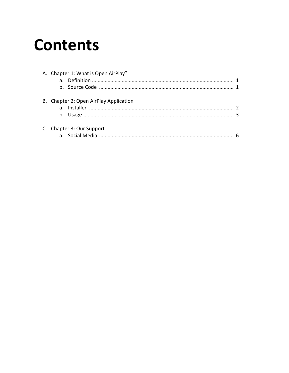## **Contents**

| A. Chapter 1: What is Open AirPlay?    |  |
|----------------------------------------|--|
|                                        |  |
| B. Chapter 2: Open AirPlay Application |  |
|                                        |  |
| C. Chapter 3: Our Support              |  |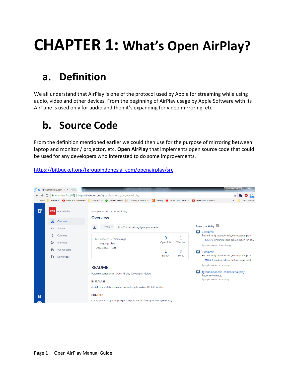## **CHAPTER 1: What's Open AirPlay?**

### **a. Definition**

We all understand that AirPlay is one of the protocol used by Apple for streaming while using audio, video and other devices. From the beginning of AirPlay usage by Apple Software with its AirTune is used only for audio and then it's expanding for video mirroring, etc.

#### **b. Source Code**

From the definition mentioned earlier we could then use for the purpose of mirroring between laptop and monitor / projector, etc. **Open AirPlay** that implements open source code that could be used for any developers who interested to do some improvements.

#### [https://bitbucket.org/fgroupindonesia\\_com/openairplay/src](https://bitbucket.org/fgroupindonesia_com/openairplay/src)

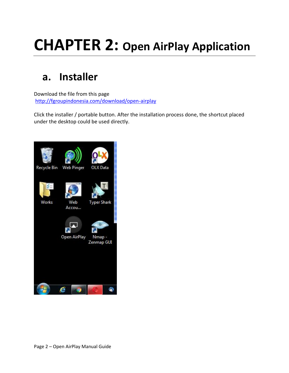## **CHAPTER 2: Open AirPlay Application**

#### **a. Installer**

Download the file from this page <http://fgroupindonesia.com/download/open-airplay>

Click the installer / portable button. After the installation process done, the shortcut placed under the desktop could be used directly.

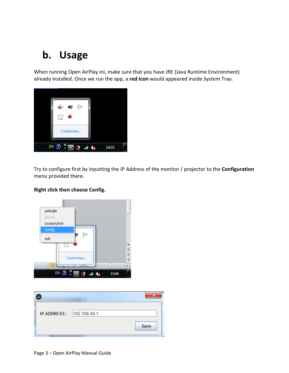### **b. Usage**

When running Open AirPlay ini, make sure that you have JRE (Java Runtime Environment) already installed. Once we run the app, a **red Icon** would appeared inside System Tray.



Try to configure first by inputting the IP Address of the monitor / projector to the **Configuration** menu provided there.



#### **Right click then choose Config.**

| IP ADDRESS:  192.168.49.1 |      |
|---------------------------|------|
|                           | Save |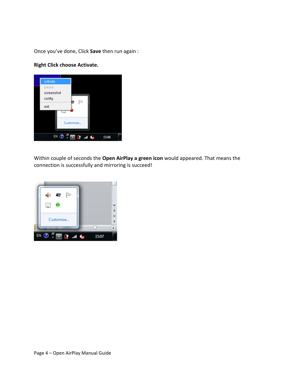Once you've done, Click **Save** then run again :

#### **Right Click choose Activate.**



Within couple of seconds the **Open AirPlay a green icon** would appeared. That means the connection is successfully and mirroring is succeed!

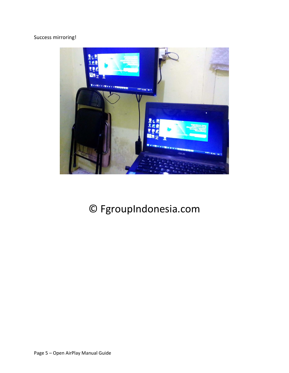#### Success mirroring!



### © FgroupIndonesia.com